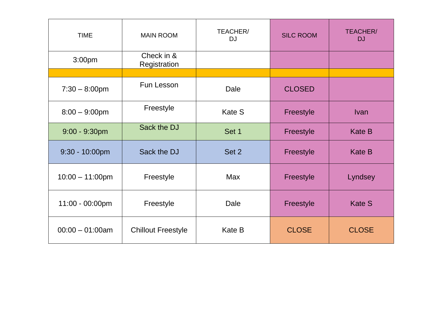| <b>TIME</b>        | <b>MAIN ROOM</b>           | TEACHER/<br><b>SILC ROOM</b><br><b>DJ</b> |               | <b>TEACHER/</b><br>DJ |
|--------------------|----------------------------|-------------------------------------------|---------------|-----------------------|
| 3:00pm             | Check in &<br>Registration |                                           |               |                       |
|                    |                            |                                           |               |                       |
| $7:30 - 8:00$ pm   | <b>Fun Lesson</b>          | Dale                                      | <b>CLOSED</b> |                       |
| $8:00 - 9:00$ pm   | Freestyle                  | <b>Kate S</b>                             | Freestyle     | Ivan                  |
| $9:00 - 9:30$ pm   | Sack the DJ                | Set 1                                     | Freestyle     | <b>Kate B</b>         |
| $9:30 - 10:00$ pm  | Sack the DJ                | Set 2                                     | Freestyle     | <b>Kate B</b>         |
| $10:00 - 11:00$ pm | Freestyle                  | <b>Max</b>                                | Freestyle     | Lyndsey               |
| 11:00 - 00:00pm    | Freestyle                  | Dale                                      | Freestyle     | <b>Kate S</b>         |
| $00:00 - 01:00$ am | <b>Chillout Freestyle</b>  | Kate B                                    | <b>CLOSE</b>  | <b>CLOSE</b>          |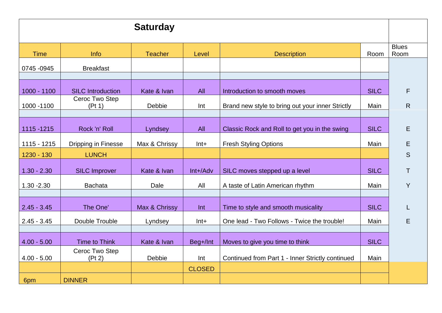| <b>Saturday</b> |                            |                |               |                                                  |             |              |
|-----------------|----------------------------|----------------|---------------|--------------------------------------------------|-------------|--------------|
|                 |                            |                |               |                                                  |             | <b>Blues</b> |
| <b>Time</b>     | Info                       | <b>Teacher</b> | Level         | <b>Description</b>                               | Room        | Room         |
| 0745 - 0945     | <b>Breakfast</b>           |                |               |                                                  |             |              |
|                 |                            |                |               |                                                  |             |              |
| 1000 - 1100     | <b>SILC</b> Introduction   | Kate & Ivan    | All           | Introduction to smooth moves                     | <b>SILC</b> | F            |
| 1000 - 1100     | Ceroc Two Step<br>(Pt 1)   | Debbie         | Int           | Brand new style to bring out your inner Strictly | Main        | $\mathsf{R}$ |
| 1115 - 1215     | Rock 'n' Roll              | Lyndsey        | All           | Classic Rock and Roll to get you in the swing    | <b>SILC</b> | Е            |
| 1115 - 1215     | <b>Dripping in Finesse</b> | Max & Chrissy  | $Int+$        | <b>Fresh Styling Options</b>                     | Main        | Ε            |
| 1230 - 130      | <b>LUNCH</b>               |                |               |                                                  |             | S            |
| $1.30 - 2.30$   | <b>SILC Improver</b>       | Kate & Ivan    | Int+/Adv      | SILC moves stepped up a level                    | <b>SILC</b> | $\mathsf T$  |
| $1.30 - 2.30$   | <b>Bachata</b>             | Dale           | All           | A taste of Latin American rhythm                 | Main        | Y            |
|                 |                            |                |               |                                                  |             |              |
| $2.45 - 3.45$   | The One'                   | Max & Chrissy  | Int           | Time to style and smooth musicality              | <b>SILC</b> |              |
| $2.45 - 3.45$   | Double Trouble             | Lyndsey        | $Int +$       | One lead - Two Follows - Twice the trouble!      | Main        | E            |
| $4.00 - 5.00$   | <b>Time to Think</b>       | Kate & Ivan    | Beg+/Int      | Moves to give you time to think                  | <b>SILC</b> |              |
| $4.00 - 5.00$   | Ceroc Two Step<br>(Pt 2)   | Debbie         | Int           | Continued from Part 1 - Inner Strictly continued | Main        |              |
|                 |                            |                | <b>CLOSED</b> |                                                  |             |              |
| 6pm             | <b>DINNER</b>              |                |               |                                                  |             |              |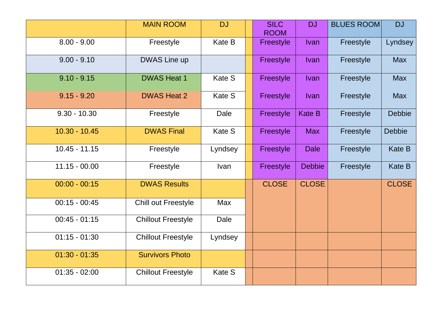|                 | <b>MAIN ROOM</b>           | <b>DJ</b>     | <b>SILC</b><br><b>ROOM</b> | <b>DJ</b>     | <b>BLUES ROOM</b> | <b>DJ</b>     |
|-----------------|----------------------------|---------------|----------------------------|---------------|-------------------|---------------|
| $8.00 - 9.00$   | Freestyle                  | Kate B        | Freestyle                  | <b>Ivan</b>   | Freestyle         | Lyndsey       |
| $9.00 - 9.10$   | <b>DWAS Line up</b>        |               | Freestyle                  | <b>Ivan</b>   | Freestyle         | <b>Max</b>    |
| $9.10 - 9.15$   | <b>DWAS Heat 1</b>         | Kate S        | Freestyle                  | <b>Ivan</b>   | Freestyle         | <b>Max</b>    |
| $9.15 - 9.20$   | <b>DWAS Heat 2</b>         | Kate S        | Freestyle                  | <b>Ivan</b>   | Freestyle         | <b>Max</b>    |
| $9.30 - 10.30$  | Freestyle                  | Dale          | Freestyle                  | <b>Kate B</b> | Freestyle         | <b>Debbie</b> |
| $10.30 - 10.45$ | <b>DWAS Final</b>          | <b>Kate S</b> | Freestyle                  | <b>Max</b>    | Freestyle         | <b>Debbie</b> |
| $10.45 - 11.15$ | Freestyle                  | Lyndsey       | Freestyle                  | <b>Dale</b>   | Freestyle         | <b>Kate B</b> |
| $11.15 - 00.00$ | Freestyle                  | <b>Ivan</b>   | Freestyle                  | <b>Debbie</b> | Freestyle         | <b>Kate B</b> |
| $00:00 - 00:15$ | <b>DWAS Results</b>        |               | <b>CLOSE</b>               | <b>CLOSE</b>  |                   | <b>CLOSE</b>  |
| $00:15 - 00:45$ | <b>Chill out Freestyle</b> | <b>Max</b>    |                            |               |                   |               |
| $00:45 - 01:15$ | <b>Chillout Freestyle</b>  | Dale          |                            |               |                   |               |
| $01:15 - 01:30$ | <b>Chillout Freestyle</b>  | Lyndsey       |                            |               |                   |               |
| $01:30 - 01:35$ | <b>Survivors Photo</b>     |               |                            |               |                   |               |
| $01:35 - 02:00$ | <b>Chillout Freestyle</b>  | Kate S        |                            |               |                   |               |